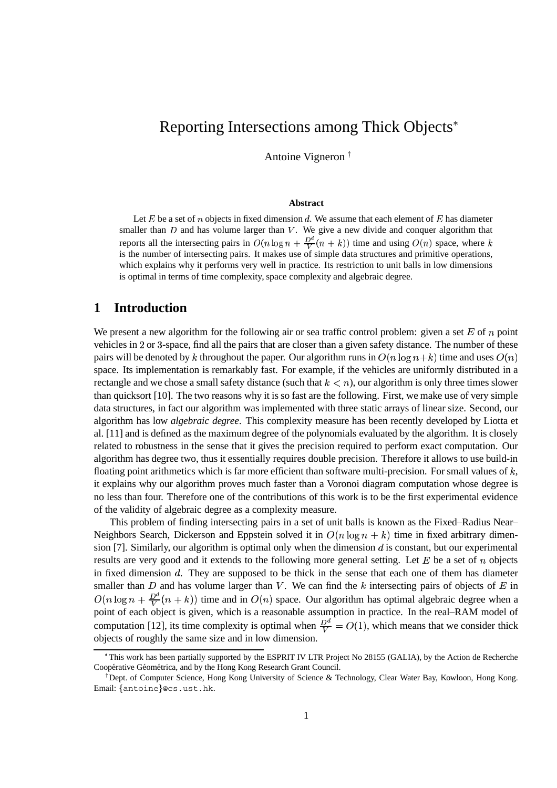# Reporting Intersections among Thick Objects

Antoine Vigneron

#### **Abstract**

Let E be a set of n objects in fixed dimension d. We assume that each element of E has diameter smaller than  $D$  and has volume larger than  $V$ . We give a new divide and conquer algorithm that reports all the intersecting pairs in  $O(n \log n + \frac{D^2}{V}(n+k))$  time and using  $O(n)$  space, where k is the number of intersecting pairs. It makes use of simple data structures and primitive operations, which explains why it performs very well in practice. Its restriction to unit balls in low dimensions is optimal in terms of time complexity, space complexity and algebraic degree.

## **1 Introduction**

We present a new algorithm for the following air or sea traffic control problem: given a set  $E$  of  $n$  point vehicles in 2 or 3-space, find all the pairs that are closer than a given safety distance. The number of these pairs will be denoted by k throughout the paper. Our algorithm runs in  $O(n \log n + k)$  time and uses  $O(n)$ space. Its implementation is remarkably fast. For example, if the vehicles are uniformly distributed in a rectangle and we chose a small safety distance (such that  $k < n$ ), our algorithm is only three times slower than quicksort [10]. The two reasons why it is so fast are the following. First, we make use of very simple data structures, in fact our algorithm was implemented with three static arrays of linear size. Second, our algorithm has low *algebraic degree*. This complexity measure has been recently developed by Liotta et al. [11] and is defined as the maximum degree of the polynomials evaluated by the algorithm. It is closely related to robustness in the sense that it gives the precision required to perform exact computation. Our algorithm has degree two, thus it essentially requires double precision. Therefore it allows to use build-in floating point arithmetics which is far more efficient than software multi-precision. For small values of  $k$ , it explains why our algorithm proves much faster than a Voronoi diagram computation whose degree is no less than four. Therefore one of the contributions of this work is to be the first experimental evidence of the validity of algebraic degree as a complexity measure.

This problem of finding intersecting pairs in a set of unit balls is known as the Fixed–Radius Near– Neighbors Search, Dickerson and Eppstein solved it in  $O(n \log n + k)$  time in fixed arbitrary dimension [7]. Similarly, our algorithm is optimal only when the dimension  $d$  is constant, but our experimental results are very good and it extends to the following more general setting. Let  $E$  be a set of  $n$  objects in fixed dimension  $d$ . They are supposed to be thick in the sense that each one of them has diameter smaller than  $D$  and has volume larger than  $V$ . We can find the  $k$  intersecting pairs of objects of  $E$  in  $O(n \log n + \frac{D^d}{V}(n+k))$  time and in  $O(n)$  space. Our algorithm has optimal algebraic degree when a point of each object is given, which is a reasonable assumption in practice. In the real–RAM model of computation [12], its time complexity is optimal when  $\frac{D^d}{V} = O(1)$ , which means that we consider thick objects of roughly the same size and in low dimension.

<sup>\*</sup>This work has been partially supported by the ESPRIT IV LTR Project No 28155 (GALIA), by the Action de Recherche Coopérative Géométrica, and by the Hong Kong Research Grant Council.

<sup>&</sup>lt;sup>†</sup> Dept. of Computer Science, Hong Kong University of Science & Technology, Clear Water Bay, Kowloon, Hong Kong. Email: {antoine}@cs.ust.hk.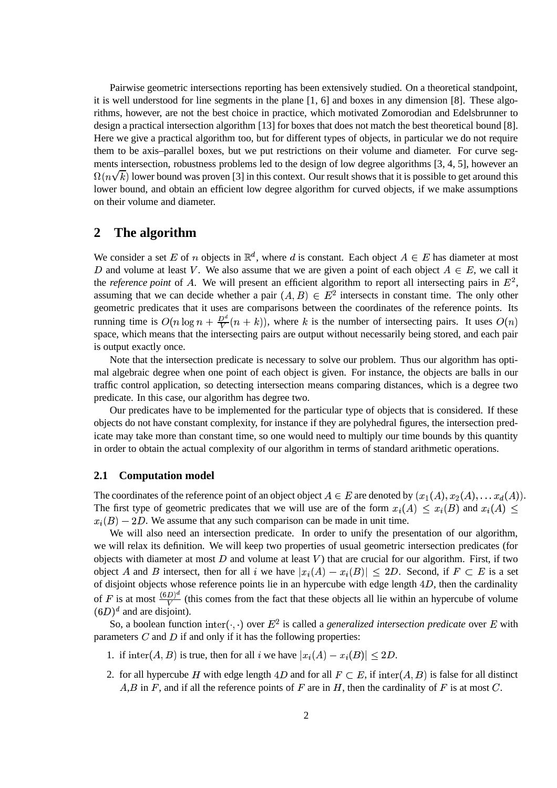Pairwise geometric intersections reporting has been extensively studied. On a theoretical standpoint, it is well understood for line segments in the plane [1, 6] and boxes in any dimension [8]. These algorithms, however, are not the best choice in practice, which motivated Zomorodian and Edelsbrunner to design a practical intersection algorithm [13] for boxes that does not match the best theoretical bound [8]. Here we give a practical algorithm too, but for different types of objects, in particular we do not require them to be axis–parallel boxes, but we put restrictions on their volume and diameter. For curve segments intersection, robustness problems led to the design of low degree algorithms [3, 4, 5], however an  $\Omega(n\sqrt{k})$  lower bound was proven [3] in this context. Our result shows that it is possible to get around this lower bound, and obtain an efficient low degree algorithm for curved objects, if we make assumptions on their volume and diameter.

## **2 The algorithm**

We consider a set E of n objects in  $\mathbb{R}^d$ , where d is constant. Each object  $A \in E$  has diameter at most D and volume at least V. We also assume that we are given a point of each object  $A \in E$ , we call it the *reference point* of A. We will present an efficient algorithm to report all intersecting pairs in  $E<sup>2</sup>$ , assuming that we can decide whether a pair  $(A, B) \in E^2$  intersects in constant time. The only other geometric predicates that it uses are comparisons between the coordinates of the reference points. Its running time is  $O(n \log n + \frac{D^d}{V}(n+k))$ , where k is the number of intersecting pairs. It uses  $O(n)$ space, which means that the intersecting pairs are output without necessarily being stored, and each pair is output exactly once.

Note that the intersection predicate is necessary to solve our problem. Thus our algorithm has optimal algebraic degree when one point of each object is given. For instance, the objects are balls in our traffic control application, so detecting intersection means comparing distances, which is a degree two predicate. In this case, our algorithm has degree two.

Our predicates have to be implemented for the particular type of objects that is considered. If these objects do not have constant complexity, for instance if they are polyhedral figures, the intersection predicate may take more than constant time, so one would need to multiply our time bounds by this quantity in order to obtain the actual complexity of our algorithm in terms of standard arithmetic operations.

## **2.1 Computation model**

The coordinates of the reference point of an object object  $A \in E$  are denoted by  $(x_1(A), x_2(A), \ldots x_d(A))$ . The first type of geometric predicates that we will use are of the form  $x_i(A) \le x_i(B)$  and  $x_i(A) \le$  $x_i(B) - 2D$ . We assume that any such comparison can be made in unit time.

We will also need an intersection predicate. In order to unify the presentation of our algorithm, we will relax its definition. We will keep two properties of usual geometric intersection predicates (for objects with diameter at most  $D$  and volume at least  $V$ ) that are crucial for our algorithm. First, if two object A and B intersect, then for all i we have  $|x_i(A) - x_i(B)| \leq 2D$ . Second, if  $F \subset E$  is a set of disjoint objects whose reference points lie in an hypercube with edge length  $4D$ , then the cardinality of F is at most  $\frac{(\mathfrak{b}D)^{n}}{V}$  (this comes from the fact that these objects all lie within an hypercube of volume  $(6D)^d$  and are disjoint).

So, a boolean function inter( $\cdot$ ,  $\cdot$ ) over  $E^2$  is called a *generalized intersection predicate* over E with parameters  $C$  and  $D$  if and only if it has the following properties:

- 1. if  $\text{inter}(A, B)$  is true, then for all i we have  $|x_i(A) x_i(B)| \leq 2D$ .
- 2. for all hypercube H with edge length  $4D$  and for all  $F \subset E$ , if inter $(A, B)$  is false for all distinct  $A, B$  in F, and if all the reference points of F are in H, then the cardinality of F is at most C.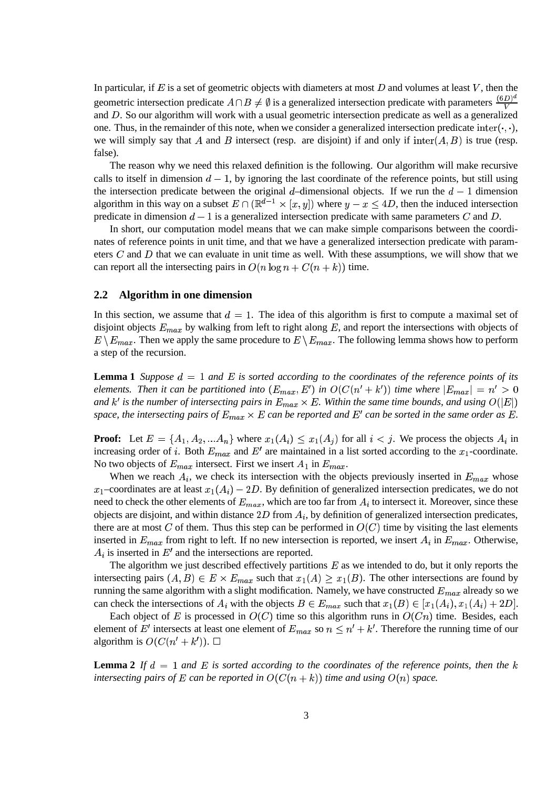In particular, if  $E$  is a set of geometric objects with diameters at most  $D$  and volumes at least  $V$ , then the geometric intersection predicate  $A \cap B \neq \emptyset$  is a generalized intersection predicate with parameters  $\frac{(\mathbf{b}D)^{T}}{V}$ and  $D$ . So our algorithm will work with a usual geometric intersection predicate as well as a generalized one. Thus, in the remainder of this note, when we consider a generalized intersection predicate  $\text{inter}(\cdot, \cdot)$ , we will simply say that A and B intersect (resp. are disjoint) if and only if  $inter(A, B)$  is true (resp. false).

The reason why we need this relaxed definition is the following. Our algorithm will make recursive calls to itself in dimension  $d - 1$ , by ignoring the last coordinate of the reference points, but still using the intersection predicate between the original d-dimensional objects. If we run the  $d-1$  dimension algorithm in this way on a subset  $E \cap (\mathbb{R}^{d-1} \times [x, y])$  where  $y - x \le 4D$ , then the induced intersection predicate in dimension  $d-1$  is a generalized intersection predicate with same parameters C and D.

In short, our computation model means that we can make simple comparisons between the coordinates of reference points in unit time, and that we have a generalized intersection predicate with parameters  $C$  and  $D$  that we can evaluate in unit time as well. With these assumptions, we will show that we can report all the intersecting pairs in  $O(n \log n + C(n+k))$  time.

#### **2.2 Algorithm in one dimension**

In this section, we assume that  $d = 1$ . The idea of this algorithm is first to compute a maximal set of disjoint objects  $E_{max}$  by walking from left to right along  $E$ , and report the intersections with objects of  $E \setminus E_{max}$ . Then we apply the same procedure to  $E \setminus E_{max}$ . The following lemma shows how to perform a step of the recursion.

**Lemma** 1 Suppose  $d = 1$  and E is sorted according to the coordinates of the reference points of its *elements. Then it can be partitioned into*  $(E_{max}, E')$  *in*  $O(C(n'+k'))$  *time where*  $|E_{max}| = n' > 0$ *and*  $k'$  *is the number of intersecting pairs in*  $E_{max} \times E$ *. Within the same time bounds, and using*  $O(|E|)$ *space, the intersecting pairs of*  $E_{max} \times E$  *can be reported and*  $E'$  *can be sorted in the same order as*  $E$ *.* 

**Proof:** Let  $E = \{A_1, A_2, ... A_n\}$  where  $x_1(A_i) \le x_1(A_j)$  for all  $i < j$ . We process the objects  $A_i$  in increasing order of i. Both  $E_{max}$  and  $E'$  are maintained in a list sorted according to the  $x_1$ -coordinate. No two objects of  $E_{max}$  intersect. First we insert  $A_1$  in  $E_{max}$ .

When we reach  $A_i$ , we check its intersection with the objects previously inserted in  $E_{max}$  whose  $x_1$ -coordinates are at least  $x_1(A_i) - 2D$ . By definition of generalized intersection predicates, we do not need to check the other elements of  $E_{max}$ , which are too far from  $A_i$  to intersect it. Moreover, since these objects are disjoint, and within distance  $2D$  from  $A_i$ , by definition of generalized intersection predicates, there are at most C of them. Thus this step can be performed in  $O(C)$  time by visiting the last elements inserted in  $E_{max}$  from right to left. If no new intersection is reported, we insert  $A_i$  in  $E_{max}$ . Otherwise,  $A_i$  is inserted in  $E'$  and the intersections are reported.

The algorithm we just described effectively partitions  $E$  as we intended to do, but it only reports the intersecting pairs  $(A, B) \in E \times E_{max}$  such that  $x_1(A) \ge x_1(B)$ . The other intersections are found by running the same algorithm with a slight modification. Namely, we have constructed  $E_{max}$  already so we can check the intersections of  $A_i$  with the objects  $B \in E_{max}$  such that  $x_1(B) \in [x_1(A_i), x_1(A_i) + 2D]$ .

Each object of E is processed in  $O(C)$  time so this algorithm runs in  $O(Cn)$  time. Besides, each element of E' intersects at least one element of  $E_{max}$  so  $n \le n' + k'$ . Therefore the running time of our algorithm is  $O(C(n'+k'))$ .  $\Box$ 

**Lemma** 2 If  $d = 1$  and E is sorted according to the coordinates of the reference points, then the k *intersecting pairs of*  $E$  *can be reported in*  $O(C(n+k))$  *time and using*  $O(n)$  *space.*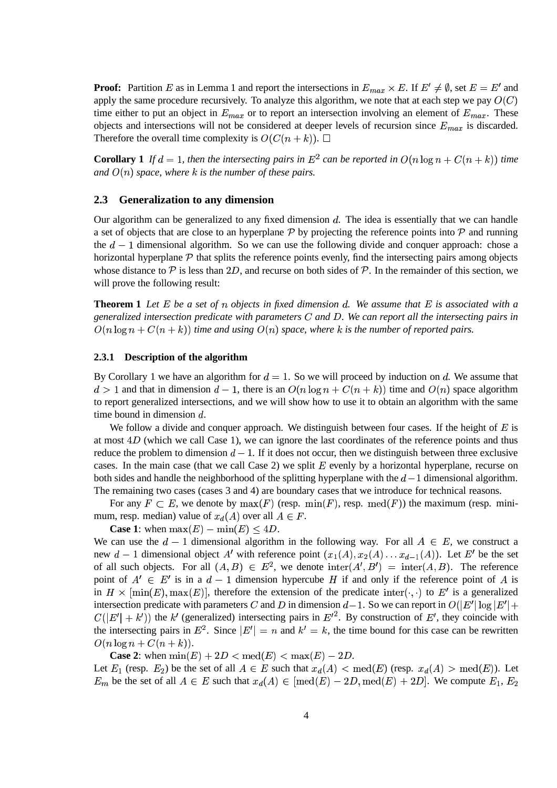**Proof:** Partition E as in Lemma 1 and report the intersections in  $E_{max} \times E$ . If  $E' \neq \emptyset$ , set  $E = E'$  and apply the same procedure recursively. To analyze this algorithm, we note that at each step we pay  $O(C)$ time either to put an object in  $E_{max}$  or to report an intersection involving an element of  $E_{max}$ . These objects and intersections will not be considered at deeper levels of recursion since  $E_{max}$  is discarded. Therefore the overall time complexity is  $O(C(n+k))$ .  $\Box$ 

**Corollary** 1 If  $d = 1$ , then the intersecting pairs in  $E^2$  can be reported in  $O(n \log n + C(n+k))$  time  $\int$  *and*  $O(n)$  *space, where*  $k$  *is the number of these pairs.* 

### **2.3 Generalization to any dimension**

Our algorithm can be generalized to any fixed dimension  $d$ . The idea is essentially that we can handle a set of objects that are close to an hyperplane  $P$  by projecting the reference points into  $P$  and running the  $d-1$  dimensional algorithm. So we can use the following divide and conquer approach: chose a horizontal hyperplane  $P$  that splits the reference points evenly, find the intersecting pairs among objects whose distance to  $P$  is less than 2D, and recurse on both sides of  $P$ . In the remainder of this section, we will prove the following result:

**Theorem 1** Let E be a set of n objects in fixed dimension d. We assume that E is associated with a *generalized intersection predicate with parameters* <sup>&</sup>lt; *and* ;*. We can report all the intersecting pairs in*  $O(n \log n + C(n+k))$  *time and using*  $O(n)$  *space, where* k *is the number of reported pairs.* 

#### **2.3.1 Description of the algorithm**

By Corollary 1 we have an algorithm for  $d = 1$ . So we will proceed by induction on d. We assume that  $d > 1$  and that in dimension  $d - 1$ , there is an  $O(n \log n + C(n+k))$  time and  $O(n)$  space algorithm to report generalized intersections, and we will show how to use it to obtain an algorithm with the same time bound in dimension  $d$ .

We follow a divide and conquer approach. We distinguish between four cases. If the height of  $E$  is at most  $4D$  (which we call Case 1), we can ignore the last coordinates of the reference points and thus reduce the problem to dimension  $d-1$ . If it does not occur, then we distinguish between three exclusive cases. In the main case (that we call Case 2) we split  $E$  evenly by a horizontal hyperplane, recurse on both sides and handle the neighborhood of the splitting hyperplane with the  $d-1$  dimensional algorithm. The remaining two cases (cases 3 and 4) are boundary cases that we introduce for technical reasons.

For any  $F \subset E$ , we denote by  $max(F)$  (resp.  $min(F)$ , resp.  $med(F)$ ) the maximum (resp. minimum, resp. median) value of  $x_d(A)$  over all  $A \in F$ .

**Case 1:** when  $\max(E) - \min(E) \leq 4D$ .

We can use the  $d-1$  dimensional algorithm in the following way. For all  $A \in E$ , we construct a new  $d-1$  dimensional object A' with reference point  $(x_1(A), x_2(A), \ldots, x_{d-1}(A))$ . Let E' be the set of all such objects. For all  $(A, B) \in E^2$ , we denote  $\text{inter}(A', B') = \text{inter}(A, B)$ . The reference point of  $A' \in E'$  is in a  $d-1$  dimension hypercube H if and only if the reference point of A is in  $H \times [min(E), max(E)]$ , therefore the extension of the predicate inter $(\cdot, \cdot)$  to E' is a generalized intersection predicate with parameters C and D in dimension  $d-1$ . So we can report in  $O(|E'|\log |E'| + \frac{1}{2})$  $C(|E'| + k')$  the k' (generalized) intersecting pairs in  $E'^2$ . By construction of E', they coincide with the intersecting pairs in  $E^2$ . Since  $|E'| = n$  and  $k' = k$ , the time bound for this case can be rewritten  $O(n \log n + C(n+k)).$ 

**Case 2:** when  $\min(E) + 2D < \text{med}(E) < \max(E) - 2D$ .

Let  $E_1$  (resp.  $E_2$ ) be the set of all  $A \in E$  such that  $x_d(A) < \text{med}(E)$  (resp.  $x_d(A) > \text{med}(E)$ ). Let  $E_m$  be the set of all  $A \in E$  such that  $x_d(A) \in [\text{med}(E) - 2D, \text{med}(E) + 2D]$ . We compute  $E_1, E_2$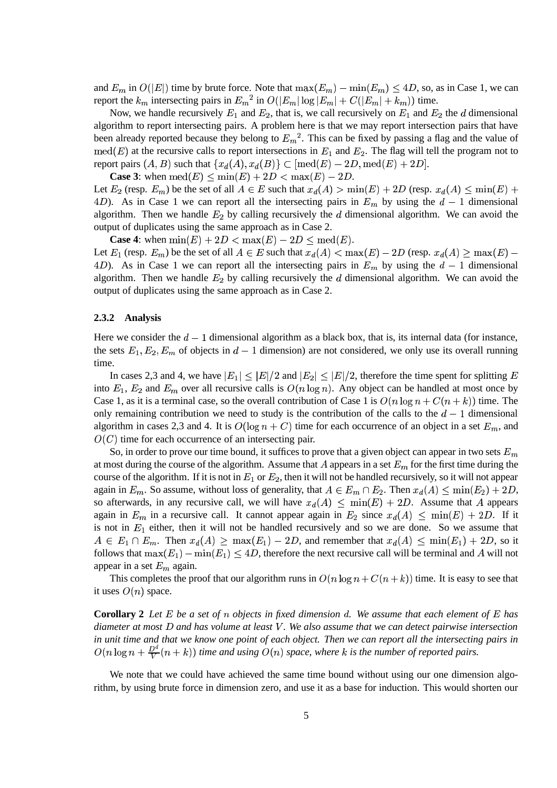and  $E_m$  in  $O(|E|)$  time by brute force. Note that  $\max(E_m) - \min(E_m) \leq 4D$ , so, as in Case 1, we can report the  $k_m$  intersecting pairs in  $E_m^2$  in  $O(|E_m| \log |E_m| + C(|E_m| + k_m))$  time.

Now, we handle recursively  $E_1$  and  $E_2$ , that is, we call recursively on  $E_1$  and  $E_2$  the d dimensional algorithm to report intersecting pairs. A problem here is that we may report intersection pairs that have been already reported because they belong to  $E_m^2$ . This can be fixed by passing a flag and the value of  $\text{med}(E)$  at the recursive calls to report intersections in  $E_1$  and  $E_2$ . The flag will tell the program not to report pairs  $(A, B)$  such that  $\{x_d(A), x_d(B)\} \subset [\text{med}(E) - 2D, \text{med}(E) + 2D].$ 

**Case 3:** when  $\text{med}(E) \leq \text{min}(E) + 2D < \text{max}(E) - 2D$ .

Let  $E_2$  (resp.  $E_m$ ) be the set of all  $A \in E$  such that  $x_d(A) > \min(E) + 2D$  (resp.  $x_d(A) \le \min(E) + 2D$ 4D). As in Case 1 we can report all the intersecting pairs in  $E_m$  by using the  $d-1$  dimensional algorithm. Then we handle  $E_2$  by calling recursively the  $d$  dimensional algorithm. We can avoid the output of duplicates using the same approach as in Case 2.

**Case 4:** when  $\min(E) + 2D < \max(E) - 2D \le \text{med}(E)$ .

Let  $E_1$  (resp.  $E_m$ ) be the set of all  $A \in E$  such that  $x_d(A) < \max(E) - 2D$  (resp.  $x_d(A) \ge \max(E) - 2D$ 4D). As in Case 1 we can report all the intersecting pairs in  $E_m$  by using the  $d-1$  dimensional algorithm. Then we handle  $E_2$  by calling recursively the  $d$  dimensional algorithm. We can avoid the output of duplicates using the same approach as in Case 2.

#### **2.3.2 Analysis**

Here we consider the  $d-1$  dimensional algorithm as a black box, that is, its internal data (for instance, the sets  $E_1, E_2, E_m$  of objects in  $d-1$  dimension) are not considered, we only use its overall running time.

In cases 2,3 and 4, we have  $|E_1| \leq |E|/2$  and  $|E_2| \leq |E|/2$ , therefore the time spent for splitting E into  $E_1, E_2$  and  $E_m$  over all recursive calls is  $O(n \log n)$ . Any object can be handled at most once by Case 1, as it is a terminal case, so the overall contribution of Case 1 is  $O(n \log n + C(n+k))$  time. The only remaining contribution we need to study is the contribution of the calls to the  $d - 1$  dimensional algorithm in cases 2,3 and 4. It is  $O(\log n + C)$  time for each occurrence of an object in a set  $E_m$ , and  $O(C)$  time for each occurrence of an intersecting pair.

So, in order to prove our time bound, it suffices to prove that a given object can appear in two sets  $E_m$ at most during the course of the algorithm. Assume that A appears in a set  $E_m$  for the first time during the course of the algorithm. If it is not in  $E_1$  or  $E_2$ , then it will not be handled recursively, so it will not appear again in  $E_m$ . So assume, without loss of generality, that  $A \in E_m \cap E_2$ . Then  $x_d(A) \le \min(E_2) + 2D$ , so afterwards, in any recursive call, we will have  $x_d(A) \leq \min(E) + 2D$ . Assume that A appears again in  $E_m$  in a recursive call. It cannot appear again in  $E_2$  since  $x_d(A) \le \min(E) + 2D$ . If it is not in  $E_1$  either, then it will not be handled recursively and so we are done. So we assume that  $A \in E_1 \cap E_m$ . Then  $x_d(A) \ge \max(E_1) - 2D$ , and remember that  $x_d(A) \le \min(E_1) + 2D$ , so it follows that  $\max(E_1) - \min(E_1) \le 4D$ , therefore the next recursive call will be terminal and A will not appear in a set  $E_m$  again.

This completes the proof that our algorithm runs in  $O(n \log n + C(n+k))$  time. It is easy to see that it uses  $O(n)$  space.

**Corollary 2** Let E be a set of n objects in fixed dimension d. We assume that each element of E has diameter at most  $D$  and has volume at least  $V$ . We also assume that we can detect pairwise intersection in unit time and that we know one point of each object. Then we can report all the intersecting pairs in  $O(n \log n + \frac{D^d}{V}(n+k))$  *time and using*  $O(n)$  *space, where* k *is the number of reported pairs.* 

We note that we could have achieved the same time bound without using our one dimension algorithm, by using brute force in dimension zero, and use it as a base for induction. This would shorten our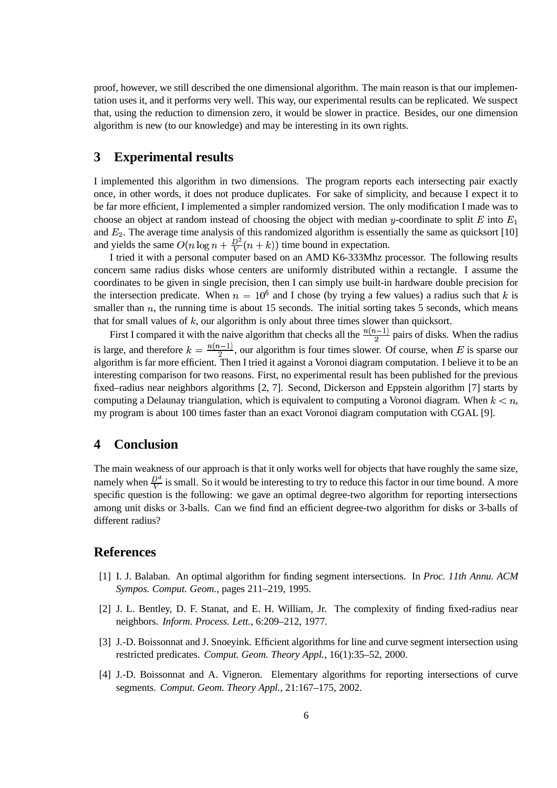proof, however, we still described the one dimensional algorithm. The main reason is that our implementation uses it, and it performs very well. This way, our experimental results can be replicated. We suspect that, using the reduction to dimension zero, it would be slower in practice. Besides, our one dimension algorithm is new (to our knowledge) and may be interesting in its own rights.

# **3 Experimental results**

I implemented this algorithm in two dimensions. The program reports each intersecting pair exactly once, in other words, it does not produce duplicates. For sake of simplicity, and because I expect it to be far more efficient, I implemented a simpler randomized version. The only modification I made was to choose an object at random instead of choosing the object with median y-coordinate to split E into  $E_1$ and  $E_2$ . The average time analysis of this randomized algorithm is essentially the same as quicksort [10] and yields the same  $O(n \log n + \frac{D^2}{V}(n+k))$  time bound in expectation.

I tried it with a personal computer based on an AMD K6-333Mhz processor. The following results concern same radius disks whose centers are uniformly distributed within a rectangle. I assume the coordinates to be given in single precision, then I can simply use built-in hardware double precision for the intersection predicate. When  $n = 10^6$  and I chose (by trying a few values) a radius such that k is smaller than  $n$ , the running time is about 15 seconds. The initial sorting takes 5 seconds, which means that for small values of  $k$ , our algorithm is only about three times slower than quicksort.

First I compared it with the naive algorithm that checks all the  $\frac{n(n-1)}{2}$  pairs of  $\frac{p-1}{2}$  pairs of disks. When the radius is large, and therefore  $k = \frac{n(n-1)}{2}$ , our alg  $\frac{z-1}{2}$ , our algorithm is four times slower. Of course, when E is sparse our  $\Gamma$ algorithm is far more efficient. Then I tried it against a Voronoi diagram computation. I believe it to be an interesting comparison for two reasons. First, no experimental result has been published for the previous fixed–radius near neighbors algorithms [2, 7]. Second, Dickerson and Eppstein algorithm [7] starts by computing a Delaunay triangulation, which is equivalent to computing a Voronoi diagram. When  $k < n$ , my program is about 100 times faster than an exact Voronoi diagram computation with CGAL [9].

# **4 Conclusion**

The main weakness of our approach is that it only works well for objects that have roughly the same size, namely when  $\frac{D^d}{V}$  is small. So it would be interesting to try to reduce this factor in our time bound. A more specific question is the following: we gave an optimal degree-two algorithm for reporting intersections among unit disks or 3-balls. Can we find find an efficient degree-two algorithm for disks or 3-balls of different radius?

## **References**

- [1] I. J. Balaban. An optimal algorithm for finding segment intersections. In *Proc. 11th Annu. ACM Sympos. Comput. Geom.*, pages 211–219, 1995.
- [2] J. L. Bentley, D. F. Stanat, and E. H. William, Jr. The complexity of finding fixed-radius near neighbors. *Inform. Process. Lett.*, 6:209–212, 1977.
- [3] J.-D. Boissonnat and J. Snoeyink. Efficient algorithms for line and curve segment intersection using restricted predicates. *Comput. Geom. Theory Appl.*, 16(1):35–52, 2000.
- [4] J.-D. Boissonnat and A. Vigneron. Elementary algorithms for reporting intersections of curve segments. *Comput. Geom. Theory Appl.*, 21:167–175, 2002.